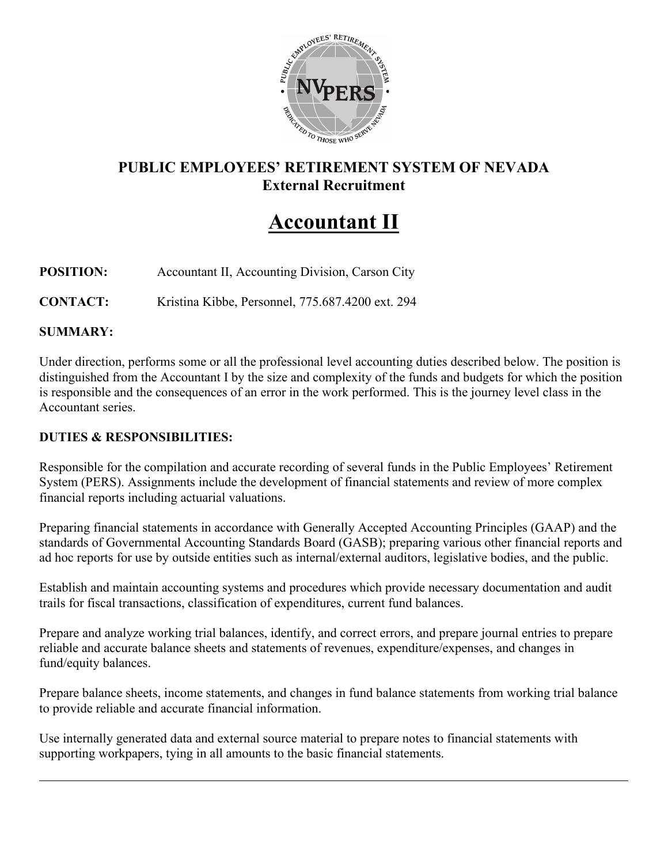

# **PUBLIC EMPLOYEES' RETIREMENT SYSTEM OF NEVADA External Recruitment**

# **Accountant II**

## **POSITION:** Accountant II, Accounting Division, Carson City

**CONTACT:** Kristina Kibbe, Personnel, 775.687.4200 ext. 294

#### **SUMMARY:**

Under direction, performs some or all the professional level accounting duties described below. The position is distinguished from the Accountant I by the size and complexity of the funds and budgets for which the position is responsible and the consequences of an error in the work performed. This is the journey level class in the Accountant series.

#### **DUTIES & RESPONSIBILITIES:**

Responsible for the compilation and accurate recording of several funds in the Public Employees' Retirement System (PERS). Assignments include the development of financial statements and review of more complex financial reports including actuarial valuations.

Preparing financial statements in accordance with Generally Accepted Accounting Principles (GAAP) and the standards of Governmental Accounting Standards Board (GASB); preparing various other financial reports and ad hoc reports for use by outside entities such as internal/external auditors, legislative bodies, and the public.

Establish and maintain accounting systems and procedures which provide necessary documentation and audit trails for fiscal transactions, classification of expenditures, current fund balances.

Prepare and analyze working trial balances, identify, and correct errors, and prepare journal entries to prepare reliable and accurate balance sheets and statements of revenues, expenditure/expenses, and changes in fund/equity balances.

Prepare balance sheets, income statements, and changes in fund balance statements from working trial balance to provide reliable and accurate financial information.

Use internally generated data and external source material to prepare notes to financial statements with supporting workpapers, tying in all amounts to the basic financial statements.

 $\overline{a}$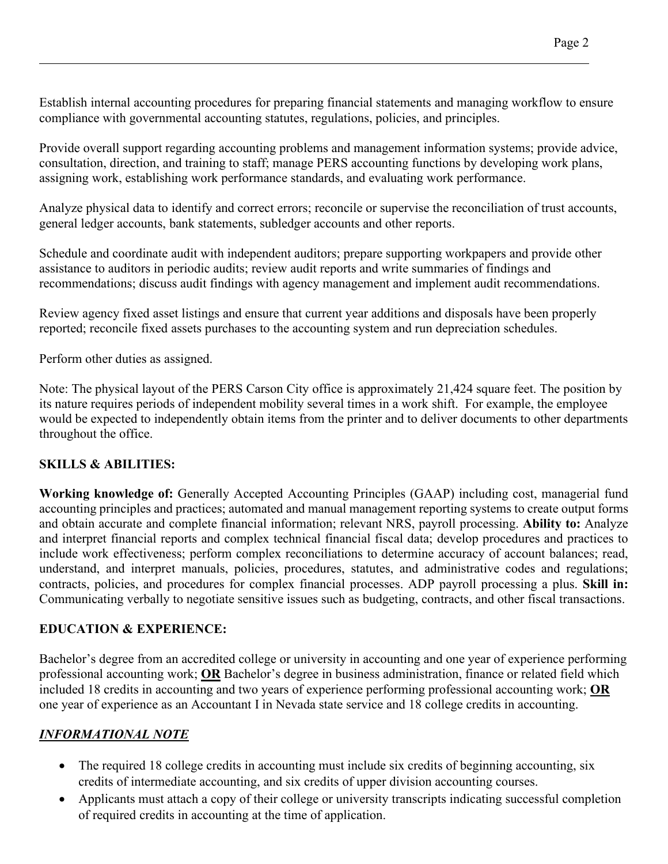Establish internal accounting procedures for preparing financial statements and managing workflow to ensure compliance with governmental accounting statutes, regulations, policies, and principles.

Provide overall support regarding accounting problems and management information systems; provide advice, consultation, direction, and training to staff; manage PERS accounting functions by developing work plans, assigning work, establishing work performance standards, and evaluating work performance.

Analyze physical data to identify and correct errors; reconcile or supervise the reconciliation of trust accounts, general ledger accounts, bank statements, subledger accounts and other reports.

Schedule and coordinate audit with independent auditors; prepare supporting workpapers and provide other assistance to auditors in periodic audits; review audit reports and write summaries of findings and recommendations; discuss audit findings with agency management and implement audit recommendations.

Review agency fixed asset listings and ensure that current year additions and disposals have been properly reported; reconcile fixed assets purchases to the accounting system and run depreciation schedules.

Perform other duties as assigned.

Note: The physical layout of the PERS Carson City office is approximately 21,424 square feet. The position by its nature requires periods of independent mobility several times in a work shift. For example, the employee would be expected to independently obtain items from the printer and to deliver documents to other departments throughout the office.

## **SKILLS & ABILITIES:**

**Working knowledge of:** Generally Accepted Accounting Principles (GAAP) including cost, managerial fund accounting principles and practices; automated and manual management reporting systems to create output forms and obtain accurate and complete financial information; relevant NRS, payroll processing. **Ability to:** Analyze and interpret financial reports and complex technical financial fiscal data; develop procedures and practices to include work effectiveness; perform complex reconciliations to determine accuracy of account balances; read, understand, and interpret manuals, policies, procedures, statutes, and administrative codes and regulations; contracts, policies, and procedures for complex financial processes. ADP payroll processing a plus. **Skill in:** Communicating verbally to negotiate sensitive issues such as budgeting, contracts, and other fiscal transactions.

## **EDUCATION & EXPERIENCE:**

Bachelor's degree from an accredited college or university in accounting and one year of experience performing professional accounting work; **OR** Bachelor's degree in business administration, finance or related field which included 18 credits in accounting and two years of experience performing professional accounting work; **OR** one year of experience as an Accountant I in Nevada state service and 18 college credits in accounting.

## *INFORMATIONAL NOTE*

- The required 18 college credits in accounting must include six credits of beginning accounting, six credits of intermediate accounting, and six credits of upper division accounting courses.
- Applicants must attach a copy of their college or university transcripts indicating successful completion of required credits in accounting at the time of application.